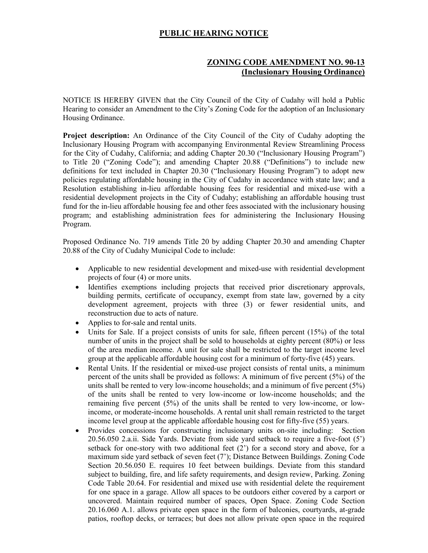## **PUBLIC HEARING NOTICE**

## **ZONING CODE AMENDMENT NO. 90-13 (Inclusionary Housing Ordinance)**

NOTICE IS HEREBY GIVEN that the City Council of the City of Cudahy will hold a Public Hearing to consider an Amendment to the City's Zoning Code for the adoption of an Inclusionary Housing Ordinance.

**Project description:** An Ordinance of the City Council of the City of Cudahy adopting the Inclusionary Housing Program with accompanying Environmental Review Streamlining Process for the City of Cudahy, California; and adding Chapter 20.30 ("Inclusionary Housing Program") to Title 20 ("Zoning Code"); and amending Chapter 20.88 ("Definitions") to include new definitions for text included in Chapter 20.30 ("Inclusionary Housing Program") to adopt new policies regulating affordable housing in the City of Cudahy in accordance with state law; and a Resolution establishing in-lieu affordable housing fees for residential and mixed-use with a residential development projects in the City of Cudahy; establishing an affordable housing trust fund for the in-lieu affordable housing fee and other fees associated with the inclusionary housing program; and establishing administration fees for administering the Inclusionary Housing Program.

Proposed Ordinance No. 719 amends Title 20 by adding Chapter 20.30 and amending Chapter 20.88 of the City of Cudahy Municipal Code to include:

- Applicable to new residential development and mixed-use with residential development projects of four (4) or more units.
- Identifies exemptions including projects that received prior discretionary approvals, building permits, certificate of occupancy, exempt from state law, governed by a city development agreement, projects with three (3) or fewer residential units, and reconstruction due to acts of nature.
- Applies to for-sale and rental units.
- Units for Sale. If a project consists of units for sale, fifteen percent (15%) of the total number of units in the project shall be sold to households at eighty percent (80%) or less of the area median income. A unit for sale shall be restricted to the target income level group at the applicable affordable housing cost for a minimum of forty-five (45) years.
- Rental Units. If the residential or mixed-use project consists of rental units, a minimum percent of the units shall be provided as follows: A minimum of five percent (5%) of the units shall be rented to very low-income households; and a minimum of five percent (5%) of the units shall be rented to very low-income or low-income households; and the remaining five percent (5%) of the units shall be rented to very low-income, or lowincome, or moderate-income households. A rental unit shall remain restricted to the target income level group at the applicable affordable housing cost for fifty-five (55) years.
- Provides concessions for constructing inclusionary units on-site including: Section 20.56.050 2.a.ii. Side Yards. Deviate from side yard setback to require a five-foot (5') setback for one-story with two additional feet  $(2')$  for a second story and above, for a maximum side yard setback of seven feet (7'); Distance Between Buildings. Zoning Code Section 20.56.050 E. requires 10 feet between buildings. Deviate from this standard subject to building, fire, and life safety requirements, and design review, Parking. Zoning Code Table 20.64. For residential and mixed use with residential delete the requirement for one space in a garage. Allow all spaces to be outdoors either covered by a carport or uncovered. Maintain required number of spaces, Open Space. Zoning Code Section 20.16.060 A.1. allows private open space in the form of balconies, courtyards, at-grade patios, rooftop decks, or terraces; but does not allow private open space in the required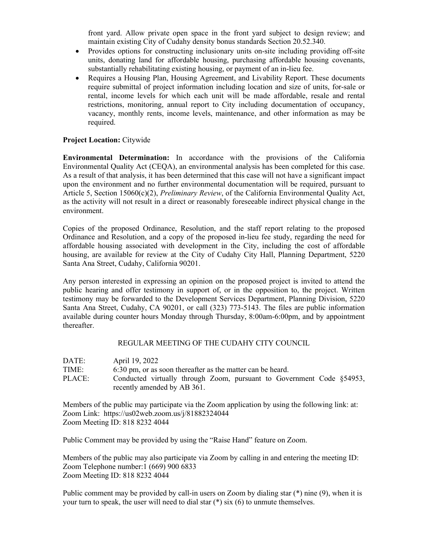front yard. Allow private open space in the front yard subject to design review; and maintain existing City of Cudahy density bonus standards Section 20.52.340.

- Provides options for constructing inclusionary units on-site including providing off-site units, donating land for affordable housing, purchasing affordable housing covenants, substantially rehabilitating existing housing, or payment of an in-lieu fee.
- Requires a Housing Plan, Housing Agreement, and Livability Report. These documents require submittal of project information including location and size of units, for-sale or rental, income levels for which each unit will be made affordable, resale and rental restrictions, monitoring, annual report to City including documentation of occupancy, vacancy, monthly rents, income levels, maintenance, and other information as may be required.

## **Project Location:** Citywide

**Environmental Determination:** In accordance with the provisions of the California Environmental Quality Act (CEQA), an environmental analysis has been completed for this case. As a result of that analysis, it has been determined that this case will not have a significant impact upon the environment and no further environmental documentation will be required, pursuant to Article 5, Section 15060(c)(2), *Preliminary Review*, of the California Environmental Quality Act, as the activity will not result in a direct or reasonably foreseeable indirect physical change in the environment.

Copies of the proposed Ordinance, Resolution, and the staff report relating to the proposed Ordinance and Resolution, and a copy of the proposed in-lieu fee study, regarding the need for affordable housing associated with development in the City, including the cost of affordable housing, are available for review at the City of Cudahy City Hall, Planning Department, 5220 Santa Ana Street, Cudahy, California 90201.

Any person interested in expressing an opinion on the proposed project is invited to attend the public hearing and offer testimony in support of, or in the opposition to, the project. Written testimony may be forwarded to the Development Services Department, Planning Division, 5220 Santa Ana Street, Cudahy, CA 90201, or call (323) 773-5143. The files are public information available during counter hours Monday through Thursday, 8:00am-6:00pm, and by appointment thereafter.

## REGULAR MEETING OF THE CUDAHY CITY COUNCIL

| DATE:  | April 19, 2022                                                        |
|--------|-----------------------------------------------------------------------|
| TIME:  | 6:30 pm, or as soon thereafter as the matter can be heard.            |
| PLACE: | Conducted virtually through Zoom, pursuant to Government Code §54953, |
|        | recently amended by AB 361.                                           |

Members of the public may participate via the Zoom application by using the following link: at: Zoom Link: <https://us02web.zoom.us/j/81882324044> Zoom Meeting ID: 818 8232 4044

Public Comment may be provided by using the "Raise Hand" feature on Zoom.

Members of the public may also participate via Zoom by calling in and entering the meeting ID: Zoom Telephone number:1 (669) 900 6833 Zoom Meeting ID: 818 8232 4044

Public comment may be provided by call-in users on Zoom by dialing star (\*) nine (9), when it is your turn to speak, the user will need to dial star (\*) six (6) to unmute themselves.